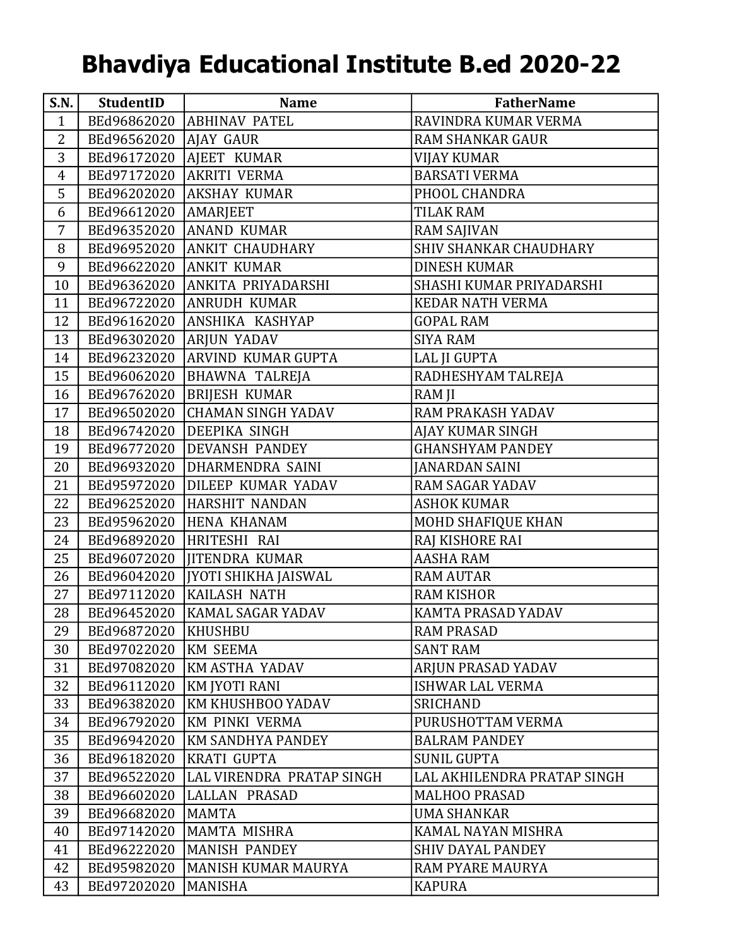## Bhavdiya Educational Institute B.ed 2020-22

| S.N.           | <b>StudentID</b>        | <b>Name</b>                       | <b>FatherName</b>             |
|----------------|-------------------------|-----------------------------------|-------------------------------|
| $\mathbf{1}$   |                         | BEd96862020   ABHINAV PATEL       | RAVINDRA KUMAR VERMA          |
| 2              | BEd96562020   AJAY GAUR |                                   | <b>RAM SHANKAR GAUR</b>       |
| 3              |                         | BEd96172020   AJEET KUMAR         | <b>VIJAY KUMAR</b>            |
| $\overline{4}$ |                         | BEd97172020 AKRITI VERMA          | <b>BARSATI VERMA</b>          |
| 5              |                         | BEd96202020   AKSHAY KUMAR        | PHOOL CHANDRA                 |
| 6              | BEd96612020   AMARJEET  |                                   | <b>TILAK RAM</b>              |
| 7              |                         | BEd96352020   ANAND KUMAR         | RAM SAJIVAN                   |
| 8              |                         | BEd96952020 ANKIT CHAUDHARY       | <b>SHIV SHANKAR CHAUDHARY</b> |
| 9              |                         | BEd96622020   ANKIT KUMAR         | <b>DINESH KUMAR</b>           |
| 10             |                         | BEd96362020 ANKITA PRIYADARSHI    | SHASHI KUMAR PRIYADARSHI      |
| 11             |                         | BEd96722020 ANRUDH KUMAR          | <b>KEDAR NATH VERMA</b>       |
| 12             |                         | BEd96162020 ANSHIKA KASHYAP       | <b>GOPAL RAM</b>              |
| 13             | BEd96302020             | <b>ARJUN YADAV</b>                | <b>SIYA RAM</b>               |
| 14             |                         | BEd96232020 ARVIND KUMAR GUPTA    | <b>LAL JI GUPTA</b>           |
| 15             |                         | BEd96062020  BHAWNA TALREJA       | RADHESHYAM TALREJA            |
| 16             |                         | BEd96762020  BRIJESH KUMAR        | RAM JI                        |
| 17             |                         | BEd96502020 CHAMAN SINGH YADAV    | RAM PRAKASH YADAV             |
| 18             |                         | BEd96742020 DEEPIKA SINGH         | AJAY KUMAR SINGH              |
| 19             |                         | BEd96772020 DEVANSH PANDEY        | <b>GHANSHYAM PANDEY</b>       |
| 20             |                         | BEd96932020 DHARMENDRA SAINI      | <b>JANARDAN SAINI</b>         |
| 21             |                         | BEd95972020 DILEEP KUMAR YADAV    | <b>RAM SAGAR YADAV</b>        |
| 22             |                         | BEd96252020 HARSHIT NANDAN        | <b>ASHOK KUMAR</b>            |
| 23             |                         | BEd95962020 HENA KHANAM           | MOHD SHAFIQUE KHAN            |
| 24             | BEd96892020             | HRITESHI RAI                      | RAJ KISHORE RAI               |
| 25             |                         | BEd96072020  JITENDRA KUMAR       | <b>AASHA RAM</b>              |
| 26             |                         | BEd96042020  JYOTI SHIKHA JAISWAL | <b>RAM AUTAR</b>              |
| 27             |                         | BEd97112020 KAILASH NATH          | <b>RAM KISHOR</b>             |
| 28             |                         | BEd96452020   KAMAL SAGAR YADAV   | KAMTA PRASAD YADAV            |
| 29             | BEd96872020 KHUSHBU     |                                   | <b>RAM PRASAD</b>             |
| 30             | BEd97022020             | KM SEEMA                          | <b>SANT RAM</b>               |
| 31             |                         | BEd97082020   KM ASTHA YADAV      | ARJUN PRASAD YADAV            |
| 32             | BEd96112020             | KM JYOTI RANI                     | <b>ISHWAR LAL VERMA</b>       |
| 33             | BEd96382020             | <b>KM KHUSHBOO YADAV</b>          | <b>SRICHAND</b>               |
| 34             | BEd96792020             | KM PINKI VERMA                    | PURUSHOTTAM VERMA             |
| 35             | BEd96942020             | KM SANDHYA PANDEY                 | <b>BALRAM PANDEY</b>          |
| 36             | BEd96182020             | <b>KRATI GUPTA</b>                | <b>SUNIL GUPTA</b>            |
| 37             | BEd96522020             | LAL VIRENDRA PRATAP SINGH         | LAL AKHILENDRA PRATAP SINGH   |
| 38             | BEd96602020             | LALLAN PRASAD                     | <b>MALHOO PRASAD</b>          |
| 39             | BEd96682020             | MAMTA                             | UMA SHANKAR                   |
| 40             | BEd97142020             | MAMTA MISHRA                      | KAMAL NAYAN MISHRA            |
| 41             | BEd96222020             | MANISH PANDEY                     | <b>SHIV DAYAL PANDEY</b>      |
| 42             | BEd95982020             | MANISH KUMAR MAURYA               | <b>RAM PYARE MAURYA</b>       |
| 43             | BEd97202020             | MANISHA                           | <b>KAPURA</b>                 |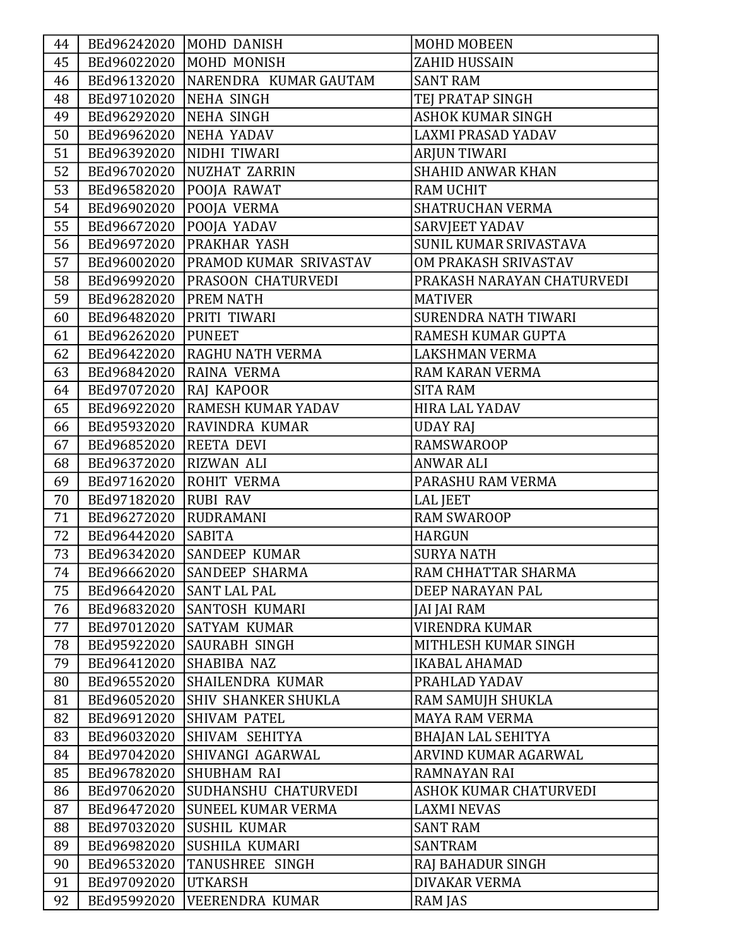| 44 |                          | BEd96242020  MOHD DANISH             | <b>MOHD MOBEEN</b>         |
|----|--------------------------|--------------------------------------|----------------------------|
| 45 |                          | BEd96022020  MOHD MONISH             | ZAHID HUSSAIN              |
| 46 |                          | BEd96132020   NARENDRA KUMAR GAUTAM  | <b>SANT RAM</b>            |
| 48 | BEd97102020 NEHA SINGH   |                                      | TEJ PRATAP SINGH           |
| 49 | BEd96292020 NEHA SINGH   |                                      | <b>ASHOK KUMAR SINGH</b>   |
| 50 | BEd96962020   NEHA YADAV |                                      | <b>LAXMI PRASAD YADAV</b>  |
| 51 |                          | BEd96392020  NIDHI TIWARI            | <b>ARJUN TIWARI</b>        |
| 52 |                          | BEd96702020   NUZHAT ZARRIN          | <b>SHAHID ANWAR KHAN</b>   |
| 53 |                          | BEd96582020 POOJA RAWAT              | <b>RAM UCHIT</b>           |
| 54 | BEd96902020              | <b>POOJA VERMA</b>                   | <b>SHATRUCHAN VERMA</b>    |
| 55 | BEd96672020              | POOJA YADAV                          | <b>SARVJEET YADAV</b>      |
| 56 |                          | BEd96972020 PRAKHAR YASH             | SUNIL KUMAR SRIVASTAVA     |
| 57 |                          | BEd96002020   PRAMOD KUMAR SRIVASTAV | OM PRAKASH SRIVASTAV       |
| 58 |                          | BEd96992020   PRASOON CHATURVEDI     | PRAKASH NARAYAN CHATURVEDI |
| 59 | BEd96282020 PREM NATH    |                                      | <b>MATIVER</b>             |
| 60 | BEd96482020              | <b>PRITI TIWARI</b>                  | SURENDRA NATH TIWARI       |
| 61 | BEd96262020              | <b>PUNEET</b>                        | RAMESH KUMAR GUPTA         |
| 62 |                          | BEd96422020 RAGHU NATH VERMA         | <b>LAKSHMAN VERMA</b>      |
| 63 | BEd96842020              | <b>RAINA VERMA</b>                   | <b>RAM KARAN VERMA</b>     |
| 64 | BEd97072020              | <b>RAJ KAPOOR</b>                    | <b>SITA RAM</b>            |
| 65 | BEd96922020              | <b>RAMESH KUMAR YADAV</b>            | <b>HIRA LAL YADAV</b>      |
| 66 | BEd95932020              | <b>RAVINDRA KUMAR</b>                | <b>UDAY RAJ</b>            |
| 67 | BEd96852020 REETA DEVI   |                                      | <b>RAMSWAROOP</b>          |
| 68 | BEd96372020              | <b>RIZWAN ALI</b>                    | <b>ANWAR ALI</b>           |
| 69 | BEd97162020              | <b>ROHIT VERMA</b>                   | PARASHU RAM VERMA          |
| 70 | BEd97182020              | <b>RUBI RAV</b>                      | <b>LAL JEET</b>            |
| 71 | BEd96272020 RUDRAMANI    |                                      | <b>RAM SWAROOP</b>         |
| 72 | BEd96442020 SABITA       |                                      | <b>HARGUN</b>              |
| 73 |                          | BEd96342020 SANDEEP KUMAR            | <b>SURYA NATH</b>          |
| 74 |                          | BEd96662020 SANDEEP SHARMA           | RAM CHHATTAR SHARMA        |
| 75 | BEd96642020              | <b>SANT LAL PAL</b>                  | DEEP NARAYAN PAL           |
| 76 |                          | BEd96832020 SANTOSH KUMARI           | JAI JAI RAM                |
| 77 |                          | BEd97012020 SATYAM KUMAR             | <b>VIRENDRA KUMAR</b>      |
| 78 | BEd95922020              | SAURABH SINGH                        | MITHLESH KUMAR SINGH       |
| 79 | BEd96412020              | SHABIBA NAZ                          | <b>IKABAL AHAMAD</b>       |
| 80 |                          | BEd96552020 SHAILENDRA KUMAR         | PRAHLAD YADAV              |
| 81 | BEd96052020              | <b>SHIV SHANKER SHUKLA</b>           | RAM SAMUJH SHUKLA          |
| 82 | BEd96912020              | <b>SHIVAM PATEL</b>                  | <b>MAYA RAM VERMA</b>      |
| 83 |                          | BEd96032020 SHIVAM SEHITYA           | <b>BHAJAN LAL SEHITYA</b>  |
| 84 |                          | BEd97042020 SHIVANGI AGARWAL         | ARVIND KUMAR AGARWAL       |
| 85 | BEd96782020              | SHUBHAM RAI                          | <b>RAMNAYAN RAI</b>        |
| 86 | BEd97062020              | SUDHANSHU CHATURVEDI                 | ASHOK KUMAR CHATURVEDI     |
| 87 | BEd96472020              | SUNEEL KUMAR VERMA                   | <b>LAXMI NEVAS</b>         |
| 88 | BEd97032020              | SUSHIL KUMAR                         | <b>SANT RAM</b>            |
| 89 | BEd96982020              | SUSHILA KUMARI                       | <b>SANTRAM</b>             |
| 90 | BEd96532020              | TANUSHREE SINGH                      | RAJ BAHADUR SINGH          |
| 91 | BEd97092020              | <b>UTKARSH</b>                       | <b>DIVAKAR VERMA</b>       |
| 92 | BEd95992020              | <b>VEERENDRA KUMAR</b>               | RAM JAS                    |